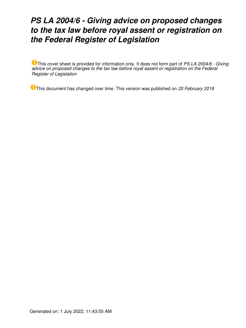# *PS LA 2004/6 - Giving advice on proposed changes to the tax law before royal assent or registration on the Federal Register of Legislation*

This cover sheet is provided for information only. It does not form part of *PS LA 2004/6 - Giving advice on proposed changes to the tax law before royal assent or registration on the Federal Register of Legislation*

This document has changed over time. This version was published on *20 February 2018*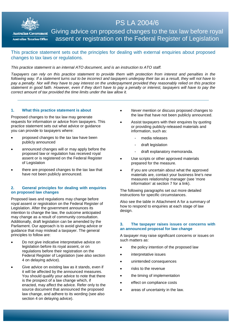

**Australian Government Australian Taxation Office** 

## PS LA 2004/6

Giving advice on proposed changes to the tax law before royal assent or registration on the Federal Register of Legislation

#### This practice statement sets out the principles for dealing with external enquiries about proposed changes to tax laws or regulations.

#### *This practice statement is an internal ATO document, and is an instruction to ATO staff.*

*Taxpayers can rely on this practice statement to provide them with protection from interest and penalties in the following way. If a statement turns out to be incorrect and taxpayers underpay their tax as a result, they will not have to pay a penalty. Nor will they have to pay interest on the underpayment provided they reasonably relied on this practice statement in good faith. However, even if they don't have to pay a penalty or interest, taxpayers will have to pay the correct amount of tax provided the time limits under the law allow it.*

#### **1. What this practice statement is about**

Proposed changes to the tax law may generate requests for information or advice from taxpayers. This practice statement sets out what advice or guidance you can provide to taxpayers where:

- proposed changes to the tax law have been publicly announced
- announced changes will or may apply before the proposed law or regulation has received royal assent or is registered on the Federal Register of Legislation
- there are proposed changes to the tax law that have not been publicly announced.

#### **2. General principles for dealing with enquiries on proposed law changes**

Proposed laws and regulations may change before royal assent or registration on the Federal Register of Legislation. After the government announces its intention to change the law, the outcome anticipated may change as a result of community consultation. Additionally, draft legislation can be amended by the Parliament. Our approach is to avoid giving advice or guidance that may mislead a taxpayer. The general principles to follow are:

- Do not give indicative interpretative advice on legislation before its royal assent, or on regulations before their registration on the Federal Register of Legislation (see also section 4 on delaying advice).
- Give advice on existing law as it stands, even if it will be affected by the announced measures. You should qualify your advice to note that there is the prospect of a law change which, if enacted, may affect the advice. Refer only to the source document that announced the proposed law change, and adhere to its wording (see also section 4 on delaying advice).
- *Never* mention or discuss proposed changes to the law that have not been publicly announced.
- Assist taxpayers with their enquires by quoting or providing publicly-released materials and information, such as:
	- media releases
	- draft legislation
	- draft explanatory memoranda.
- Use scripts or other approved materials prepared for the measure.
- If you are uncertain about what the approved materials are, contact your business line's new measures relationship manager (see 'more information' at section 7 for a link).

The following paragraphs set out more detailed instructions for specific circumstances.

Also see the table in Attachment A for a summary of how to respond to enquiries at each stage of law design.

#### **3. The taxpayer raises issues or concerns with an announced proposal for law change**

A taxpayer may raise significant concerns or issues on such matters as:

- the policy intention of the proposed law
- interpretative issues
- unintended consequences
- risks to the revenue
- the timing of implementation
- effect on compliance costs
- areas of uncertainty in the law.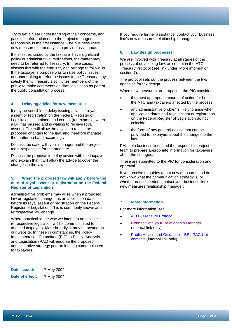Try to get a clear understanding of their concerns, and pass the information on to the project manager responsible in the first instance. The business line's new measures team may also provide assistance.

If the issues raised by the taxpayer have significant policy or administrative implications, the matter may need to be referred to Treasury. In these cases, discuss this with the enquirer, and arrange to follow up. If the taxpayer's purpose was to raise policy issues, our undertaking to refer the issues to the Treasury may satisfy them. Treasury also invites members of the public to make comments on draft legislation as part of the public consultation process.

#### **4. Delaying advice for new measures**

It may be sensible to delay issuing advice if royal assent or registration on the Federal Register of Legislation is imminent and certain (for example, when a Bill has passed and is waiting to receive royal assent). This will allow the advice to reflect the proposed changes to the law, and therefore manage the matter on hand accordingly.

Discuss the case with your manager and the project team responsible for the measure.

Discuss the proposal to delay advice with the taxpayer and explain that it will allow the advice to cover the changes in the law.

#### **5. When the proposed law will apply before the date of royal assent or registration on the Federal Register of Legislation**

Administrative problems may arise when a proposed law or regulation change has an application date before its royal assent or registration on the Federal Register of Legislation. This is commonly known as a retrospective law change.

Where practicable the way we intend to administer retrospective legislation will be communicated to affected taxpayers. More broadly, it may be posted on our website. In these circumstances, the Policy Implementation Committee (PIC) in Policy, Analysis and Legislation (PAL) will endorse the proposed administrative strategy prior to it being communicated to taxpayers.

**Date issued:** 7 May 2004 **Date of effect:** 7 May 2004 If you require further assistance, contact your business line's new measures relationship manager.

#### **6. Law design processes**

We are involved with Treasury at all stages of the process of developing law, as set out in the ATO - Treasury Protocol (see link under 'More information' section 7).

The protocol sets out the process between the two agencies for tax design.

When new measures are proposed, the PIC considers:

- the most appropriate course of action for both the ATO and taxpayers affected by the process
- any administrative problems likely to arise when application dates and royal assent or registration on the Federal Register of Legislation do not coincide
- the form of any general advice that can be provided to taxpayers about the changes to the law.

PAL help business lines and the responsible project team to prepare appropriate information for taxpayers about the changes.

These are submitted to the PIC for consideration and approval.

If you receive enquiries about new measures and do not know what the communication strategy is, or whether one is needed, contact your business line's new measures relationship manager.

#### **7. More information**

For more information, see:

- [ATO Treasury Protocol](http://www.ato.gov.au/General/New-legislation/In-detail/ATO---Treasury-protocols/ATO---Treasury-protocol/)
- [Connect with your Relationship Manager](http://sharepoint/GASites/IntegratedTaxDesign/SitePages/Relationship%20Managers.aspx) (internal link only)
- [Public Advice and Guidance BSL PAG Unit](http://sharepoint/GASites/TCN/SitePages/PAG_Contact_Us.aspx)  [contacts](http://sharepoint/GASites/TCN/SitePages/PAG_Contact_Us.aspx) (internal link only)